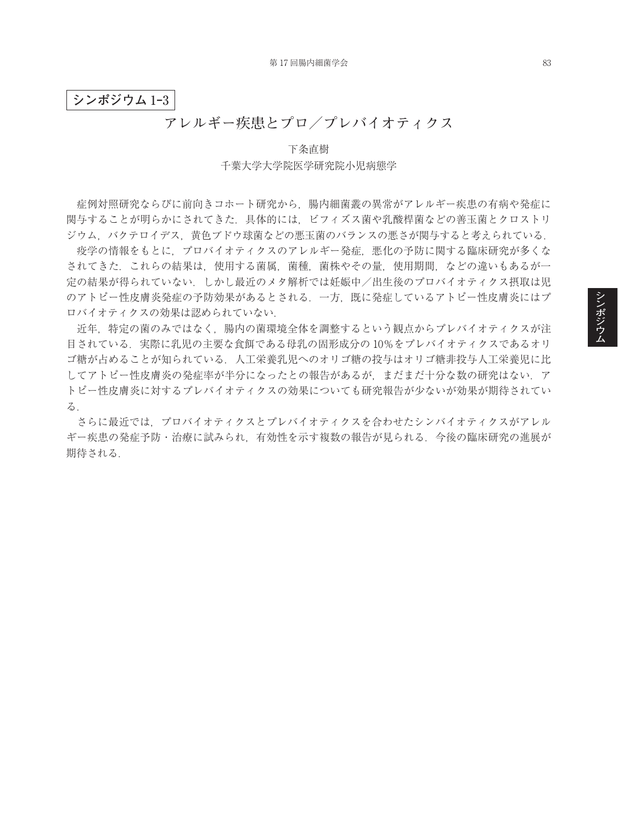## **シンポジウム** 1**‒**3

## **アレルギー疾患とプロ/プレバイオティクス**

下条直樹 千葉大学大学院医学研究院小児病態学

症例対照研究ならびに前向きコホート研究から,腸内細菌叢の異常がアレルギー疾患の有病や発症に 関与することが明らかにされてきた.具体的には,ビフィズス菌や乳酸桿菌などの善玉菌とクロストリ ジウム,バクテロイデス,黄色ブドウ球菌などの悪玉菌のバランスの悪さが関与すると考えられている.

疫学の情報をもとに,プロバイオティクスのアレルギー発症,悪化の予防に関する臨床研究が多くな されてきた.これらの結果は,使用する菌属,菌種,菌株やその量,使用期間,などの違いもあるが一 定の結果が得られていない.しかし最近のメタ解析では妊娠中/出生後のプロバイオティクス摂取は児 のアトピー性皮膚炎発症の予防効果があるとされる.一方,既に発症しているアトピー性皮膚炎にはプ ロバイオティクスの効果は認められていない.

近年,特定の菌のみではなく,腸内の菌環境全体を調整するという観点からプレバイオティクスが注 目されている.実際に乳児の主要な食餌である母乳の固形成分の 10%をプレバイオティクスであるオリ ゴ糖が占めることが知られている.人工栄養乳児へのオリゴ糖の投与はオリゴ糖非投与人工栄養児に比 してアトピー性皮膚炎の発症率が半分になったとの報告があるが、まだまだ十分な数の研究はない。ア トピー性皮膚炎に対するプレバイオティクスの効果についても研究報告が少ないが効果が期待されてい る.

さらに最近では,プロバイオティクスとプレバイオティクスを合わせたシンバイオティクスがアレル ギー疾患の発症予防・治療に試みられ,有効性を示す複数の報告が見られる.今後の臨床研究の進展が 期待される.